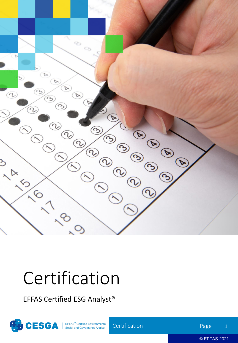

# Certification

EFFAS Certified ESG Analyst®



EFFAS<sup>®</sup> Certified Environmental<br>Social and Governance Analyst

Certification

Page 1

© EFFAS 2021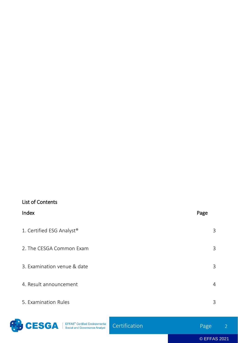# List of Contents Index Page 1. Certified ESG Analyst® 3 2. The CESGA Common Exam 3 3. Examination venue & date 3 4. Result announcement 4. Note that the set of the set of the set of the set of the set of the set of the set of the set of the set of the set of the set of the set of the set of the set of the set of the set of the set of 5. Examination Rules 3



|  | Certification |
|--|---------------|
|  |               |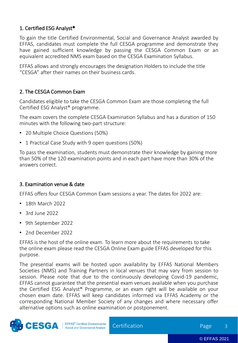# 1. Certified ESG Analyst®

To gain the title Certified Environmental, Social and Governance Analyst awarded by EFFAS, candidates must complete the full CESGA programme and demonstrate they have gained sufficient knowledge by passing the CESGA Common Exam or an equivalent accredited NMS exam based on the CESGA Examination Syllabus.

EFFAS allows and strongly encourages the designation Holders to include the title "CESGA" after their names on their business cards.

# 2. The CESGA Common Exam

Candidates eligible to take the CESGA Common Exam are those completing the full Certified ESG Analyst® programme.

The exam covers the complete CESGA Examination Syllabus and has a duration of 150 minutes with the following two-part structure:

- 20 Multiple Choice Questions (50%)
- 1 Practical Case Study with 9 open questions (50%)

To pass the examination, students must demonstrate their knowledge by gaining more than 50% of the 120 examination points and in each part have more than 30% of the answers correct.

# 3. Examination venue & date

EFFAS offers four CESGA Common Exam sessions a year. The dates for 2022 are:

- 18th March 2022
- 3rd June 2022
- 9th September 2022
- 2nd December 2022

EFFAS is the host of the online exam. To learn more about the requirements to take the online exam please read the CESGA Online Exam guide EFFAS developed for this purpose.

The presential exams will be hosted upon availability by EFFAS National Members Societies (NMS) and Training Partners in local venues that may vary from session to session. Please note that due to the continuously developing Covid-19 pandemic, EFFAS cannot guarantee that the presential exam venues available when you purchase the Certified ESG Analyst® Programme, or an exam right will be available on your chosen exam date. EFFAS will keep candidates informed via EFFAS Academy or the corresponding National Member Society of any changes and where necessary offer alternative options such as online examination or postponement.



Certification

Page 3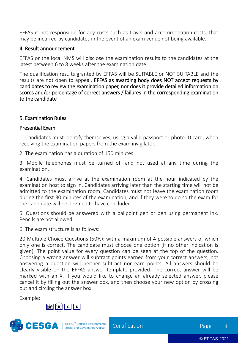EFFAS is not responsible for any costs such as travel and accommodation costs, that may be incurred by candidates in the event of an exam venue not being available.

#### 4. Result announcement

EFFAS or the local NMS will disclose the examination results to the candidates at the latest between 6 to 8 weeks after the examination date.

The qualification results granted by EFFAS will be SUITABLE or NOT SUITABLE and the results are not open to appeal. EFFAS as awarding body does NOT accept requests by candidates to review the examination paper, nor does it provide detailed information on scores and/or percentage of correct answers / failures in the corresponding examination to the candidate.

## 5. Examination Rules

#### Presential Exam

1. Candidates must identify themselves, using a valid passport or photo ID card, when receiving the examination papers from the exam invigilator.

2. The examination has a duration of 150 minutes.

3. Mobile telephones must be turned off and not used at any time during the examination.

4. Candidates must arrive at the examination room at the hour indicated by the examination host to sign in. Candidates arriving later than the starting time will not be admitted to the examination room. Candidates must not leave the examination room during the first 30 minutes of the examination, and if they were to do so the exam for the candidate will be deemed to have concluded.

5. Questions should be answered with a ballpoint pen or pen using permanent ink. Pencils are not allowed.

6. The exam structure is as follows:

20 Multiple Choice Questions (50%): with a maximum of 4 possible answers of which only one is correct. The candidate must choose one option (if no other indication is given). The point value for every question can be seen at the top of the question. Choosing a wrong answer will subtract points earned from your correct answers; not answering a question will neither subtract nor earn points. All answers should be clearly visible on the EFFAS answer template provided. The correct answer will be marked with an X. If you would like to change an already selected answer, please cancel it by filling out the answer box, and then choose your new option by crossing out and circling the answer box.

Example:





Certification

Page 4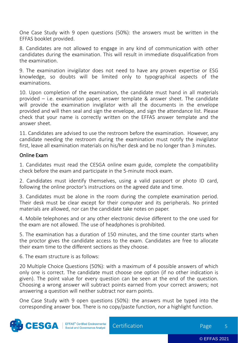One Case Study with 9 open questions (50%): the answers must be written in the EFFAS booklet provided.

8. Candidates are not allowed to engage in any kind of communication with other candidates during the examination. This will result in immediate disqualification from the examination.

9. The examination invigilator does not need to have any proven expertise or ESG knowledge, so doubts will be limited only to typographical aspects of the examinations.

10. Upon completion of the examination, the candidate must hand in all materials provided – i.e. examination paper, answer template & answer sheet. The candidate will provide the examination invigilator with all the documents in the envelope provided and will then seal and sign the envelope, and sign the attendance list. Please check that your name is correctly written on the EFFAS answer template and the answer sheet.

11. Candidates are advised to use the restroom before the examination. However, any candidate needing the restroom during the examination must notify the invigilator first, leave all examination materials on his/her desk and be no longer than 3 minutes.

## Online Exam

1. Candidates must read the CESGA online exam guide, complete the compatibility check before the exam and participate in the 5-minute mock exam.

2. Candidates must identify themselves, using a valid passport or photo ID card, following the online proctor's instructions on the agreed date and time.

3. Candidates must be alone in the room during the complete examination period. Their desk must be clear except for their computer and its peripherals. No printed materials are allowed, nor can the candidate take notes on paper.

4. Mobile telephones and or any other electronic devise different to the one used for the exam are not allowed. The use of headphones is prohibited.

5. The examination has a duration of 150 minutes, and the time counter starts when the proctor gives the candidate access to the exam. Candidates are free to allocate their exam time to the different sections as they choose.

6. The exam structure is as follows:

20 Multiple Choice Questions (50%): with a maximum of 4 possible answers of which only one is correct. The candidate must choose one option (if no other indication is given). The point value for every question can be seen at the end of the question. Choosing a wrong answer will subtract points earned from your correct answers; not answering a question will neither subtract nor earn points.

One Case Study with 9 open questions (50%): the answers must be typed into the corresponding answer box. There is no copy/paste function, nor a highlight function.



**Certification**